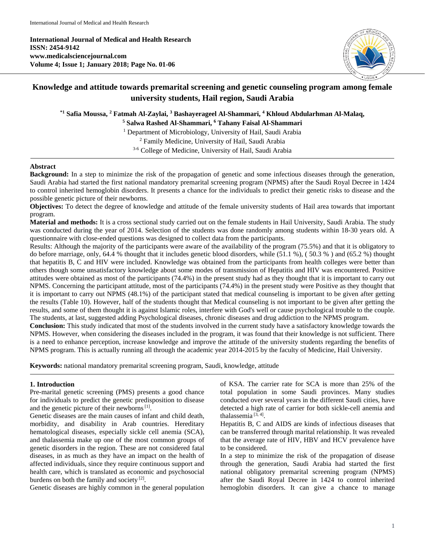**International Journal of Medical and Health Research ISSN: 2454-9142 www.medicalsciencejournal.com Volume 4; Issue 1; January 2018; Page No. 01-06**



# **Knowledge and attitude towards premarital screening and genetic counseling program among female university students, Hail region, Saudi Arabia**

**\*1 Safia Moussa, 2 Fatmah Al-Zaylai, 3 Bashayerageel Al-Shammari, 4 Khloud Abdularhman Al-Malaq,**

**<sup>5</sup> Salwa Rashed Al-Shammari, 6 Tahany Faisal Al-Shammari**

<sup>1</sup> Department of Microbiology, University of Hail, Saudi Arabia

<sup>2</sup> Family Medicine, University of Hail, Saudi Arabia

3-6 College of Medicine, University of Hail, Saudi Arabia

### **Abstract**

**Background:** In a step to minimize the risk of the propagation of genetic and some infectious diseases through the generation, Saudi Arabia had started the first national mandatory premarital screening program (NPMS) after the Saudi Royal Decree in 1424 to control inherited hemoglobin disorders. It presents a chance for the individuals to predict their genetic risks to disease and the possible genetic picture of their newborns.

**Objectives:** To detect the degree of knowledge and attitude of the female university students of Hail area towards that important program.

**Material and methods:** It is a cross sectional study carried out on the female students in Hail University, Saudi Arabia. The study was conducted during the year of 2014. Selection of the students was done randomly among students within 18-30 years old. A questionnaire with close-ended questions was designed to collect data from the participants.

Results: Although the majority of the participants were aware of the availability of the program (75.5%) and that it is obligatory to do before marriage, only, 64.4 % thought that it includes genetic blood disorders, while (51.1 %), ( 50.3 % ) and (65.2 %) thought that hepatitis B, C and HIV were included. Knowledge was obtained from the participants from health colleges were better than others though some unsatisfactory knowledge about some modes of transmission of Hepatitis and HIV was encountered. Positive attitudes were obtained as most of the participants (74.4%) in the present study had as they thought that it is important to carry out NPMS. Concerning the participant attitude, most of the participants (74.4%) in the present study were Positive as they thought that it is important to carry out NPMS (48.1%) of the participant stated that medical counseling is important to be given after getting the results (Table 10). However, half of the students thought that Medical counseling is not important to be given after getting the results, and some of them thought it is against Islamic roles, interfere with God's well or cause psychological trouble to the couple. The students, at last, suggested adding Psychological diseases, chronic diseases and drug addiction to the NPMS program.

**Conclusion:** This study indicated that most of the students involved in the current study have a satisfactory knowledge towards the NPMS. However, when considering the diseases included in the program, it was found that their knowledge is not sufficient. There is a need to enhance perception, increase knowledge and improve the attitude of the university students regarding the benefits of NPMS program. This is actually running all through the academic year 2014-2015 by the faculty of Medicine, Hail University.

**Keywords:** national mandatory premarital screening program, Saudi, knowledge, attitude

#### **1. Introduction**

Pre-marital genetic screening (PMS) presents a good chance for individuals to predict the genetic predisposition to disease and the genetic picture of their newborns $[1]$ .

Genetic diseases are the main causes of infant and child death, morbidity, and disability in Arab countries. Hereditary hematological diseases, especially sickle cell anemia (SCA), and thalassemia make up one of the most common groups of genetic disorders in the region. These are not considered fatal diseases, in as much as they have an impact on the health of affected individuals, since they require continuous support and health care, which is translated as economic and psychosocial burdens on both the family and society<sup>[2]</sup>.

Genetic diseases are highly common in the general population

of KSA. The carrier rate for SCA is more than 25% of the total population in some Saudi provinces. Many studies conducted over several years in the different Saudi cities, have detected a high rate of carrier for both sickle-cell anemia and thalassemia [3, 4] .

Hepatitis B, C and AIDS are kinds of infectious diseases that can be transferred through marital relationship. It was revealed that the average rate of HIV, HBV and HCV prevalence have to be considered.

In a step to minimize the risk of the propagation of disease through the generation, Saudi Arabia had started the first national obligatory premarital screening program (NPMS) after the Saudi Royal Decree in 1424 to control inherited hemoglobin disorders. It can give a chance to manage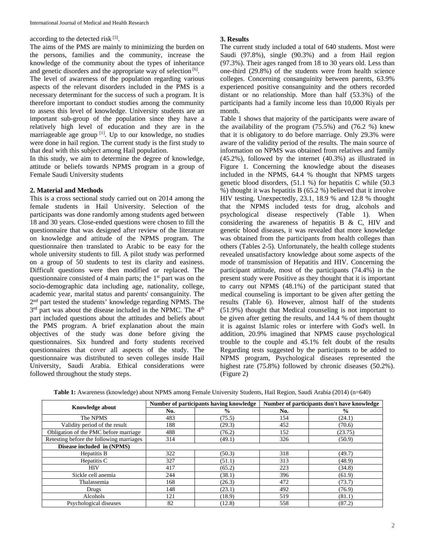according to the detected risk [5].

The aims of the PMS are mainly to minimizing the burden on the persons, families and the community, increase the knowledge of the community about the types of inheritance and genetic disorders and the appropriate way of selection<sup>[6]</sup>.

The level of awareness of the population regarding various aspects of the relevant disorders included in the PMS is a necessary determinant for the success of such a program. It is therefore important to conduct studies among the community to assess this level of knowledge. University students are an important sub-group of the population since they have a relatively high level of education and they are in the marriageable age group<sup>[1]</sup>. Up to our knowledge, no studies were done in hail region. The current study is the first study to that deal with this subject among Hail population.

In this study, we aim to determine the degree of knowledge, attitude or beliefs towards NPMS program in a group of Female Saudi University students

# **2. Material and Methods**

This is a cross sectional study carried out on 2014 among the female students in Hail University. Selection of the participants was done randomly among students aged between 18 and 30 years. Close-ended questions were chosen to fill the questionnaire that was designed after review of the literature on knowledge and attitude of the NPMS program. The questionnaire then translated to Arabic to be easy for the whole university students to fill. A pilot study was performed on a group of 50 students to test its clarity and easiness. Difficult questions were then modified or replaced. The questionnaire consisted of 4 main parts; the 1<sup>st</sup> part was on the socio-demographic data including age, nationality, college, academic year, marital status and parents' consanguinity. The 2nd part tested the students' knowledge regarding NPMS. The  $3<sup>rd</sup>$  part was about the disease included in the NPMC. The  $4<sup>th</sup>$ part included questions about the attitudes and beliefs about the PMS program. A brief explanation about the main objectives of the study was done before giving the questionnaires. Six hundred and forty students received questionnaires that cover all aspects of the study. The questionnaire was distributed to seven colleges inside Hail University, Saudi Arabia. Ethical considerations were followed throughout the study steps.

## **3. Results**

The current study included a total of 640 students. Most were Saudi (97.8%), single (90.3%) and a from Hail region (97.3%). Their ages ranged from 18 to 30 years old. Less than one-third (29.8%) of the students were from health science colleges. Concerning consanguinity between parents, 63.9% experienced positive consanguinity and the others recorded distant or no relationship. More than half (53.3%) of the participants had a family income less than 10,000 Riyals per month.

Table 1 shows that majority of the participants were aware of the availability of the program (75.5%) and (76.2 %) knew that it is obligatory to do before marriage. Only 29.3% were aware of the validity period of the results. The main source of information on NPMS was obtained from relatives and family (45.2%), followed by the internet (40.3%) as illustrated in Figure 1. Concerning the knowledge about the diseases included in the NPMS, 64.4 % thought that NPMS targets genetic blood disorders, (51.1 %) for hepatitis C while (50.3 %) thought it was hepatitis B (65.2 %) believed that it involve HIV testing. Unexpectedly, 23.1, 18.9 % and 12.8 % thought that the NPMS included tests for drug, alcohols and psychological disease respectively (Table 1). When considering the awareness of hepatitis B  $\&$  C, HIV and genetic blood diseases, it was revealed that more knowledge was obtained from the participants from health colleges than others (Tables 2-5). Unfortunately, the health college students revealed unsatisfactory knowledge about some aspects of the mode of transmission of Hepatitis and HIV. Concerning the participant attitude, most of the participants (74.4%) in the present study were Positive as they thought that it is important to carry out NPMS (48.1%) of the participant stated that medical counseling is important to be given after getting the results (Table 6). However, almost half of the students (51.9%) thought that Medical counseling is not important to be given after getting the results, and 14.4 % of them thought it is against Islamic roles or interfere with God's well. In addition, 20.9% imagined that NPMS cause psychological trouble to the couple and 45.1% felt doubt of the results Regarding tests suggested by the participants to be added to NPMS program, Psychological diseases represented the highest rate (75.8%) followed by chronic diseases (50.2%). (Figure 2)

|                                          |     | Number of participants having knowledge | Number of participants don't have knowledge |               |  |
|------------------------------------------|-----|-----------------------------------------|---------------------------------------------|---------------|--|
| <b>Knowledge about</b>                   | No. | $\frac{6}{9}$                           | No.                                         | $\frac{6}{9}$ |  |
| The NPMS                                 | 483 | (75.5)                                  | 154                                         | (24.1)        |  |
| Validity period of the result            | 188 | (29.3)                                  | 452                                         | (70.6)        |  |
| Obligation of the PMC before marriage    | 488 | (76.2)                                  | 152                                         | (23.75)       |  |
| Retesting before the following marriages | 314 | (49.1)                                  | 326                                         | (50.9)        |  |
| Disease included in (NPMS)               |     |                                         |                                             |               |  |
| Hepatitis B                              | 322 | (50.3)                                  | 318                                         | (49.7)        |  |
| Hepatitis C                              | 327 | (51.1)                                  | 313                                         | (48.9)        |  |
| <b>HIV</b>                               | 417 | (65.2)                                  | 223                                         | (34.8)        |  |
| Sickle cell anemia                       | 244 | (38.1)                                  | 396                                         | (61.9)        |  |
| Thalassemia                              | 168 | (26.3)                                  | 472                                         | (73.7)        |  |
| Drugs                                    | 148 | (23.1)                                  | 492                                         | (76.9)        |  |
| Alcohols                                 | 121 | (18.9)                                  | 519                                         | (81.1)        |  |
| Psychological diseases                   | 82  | (12.8)                                  | 558                                         | (87.2)        |  |

**Table 1:** Awareness (knowledge) about NPMS among Female University Students, Hail Region, Saudi Arabia (2014) (n=640)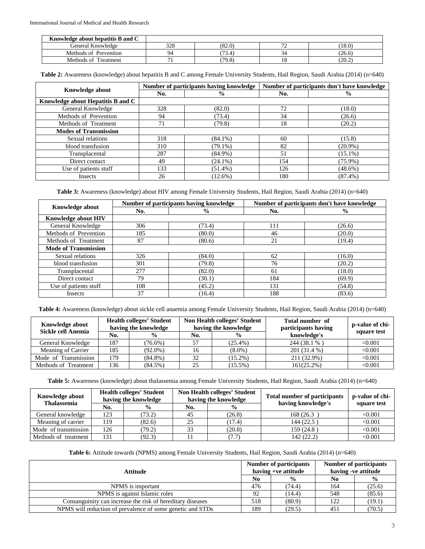| Knowledge about hepatitis B and C |     |        |        |        |
|-----------------------------------|-----|--------|--------|--------|
| General Knowledge                 | 328 | (82.0) | $\sim$ | (18.0) |
| Methods of Prevention             | 94  | 3.4    |        | (26.6) |
| Treatment<br>Methods of           |     | (79.8) | 10     | (20.2) |

**Table 2:** Awareness (knowledge) about hepatitis B and C among Female University Students, Hail Region, Saudi Arabia (2014) (n=640)

|                                   |     | Number of participants having knowledge | Number of participants don't have knowledge |               |  |
|-----------------------------------|-----|-----------------------------------------|---------------------------------------------|---------------|--|
| <b>Knowledge about</b>            | No. | $\frac{6}{9}$                           |                                             | $\frac{0}{0}$ |  |
| Knowledge about Hepatitis B and C |     |                                         |                                             |               |  |
| General Knowledge                 | 328 | (82.0)                                  | 72                                          | (18.0)        |  |
| Methods of Prevention             | 94  | (73.4)                                  | 34                                          | (26.6)        |  |
| Methods of Treatment              | 71  | (79.8)                                  | 18                                          | (20.2)        |  |
| <b>Modes of Transmission</b>      |     |                                         |                                             |               |  |
| Sexual relations                  | 318 | $(84.1\%)$                              | 60                                          | (15.8)        |  |
| blood transfusion                 | 310 | $(79.1\%)$                              | 82                                          | $(20.9\%)$    |  |
| Transplacental                    | 287 | $(84.9\%)$                              | 51                                          | $(15.1\%)$    |  |
| Direct contact                    | 49  | $(24.1\%)$                              | 154                                         | $(75.9\%)$    |  |
| Use of patients stuff             | 133 | $(51.4\%)$                              | 126                                         | $(48.6\%)$    |  |
| Insects                           | 26  | $(12.6\%)$                              | 180                                         | $(87.4\%)$    |  |

**Table 3:** Awareness (knowledge) about HIV among Female University Students, Hail Region, Saudi Arabia (2014) (n=640)

|                             |     | Number of participants having knowledge | Number of participants don't have knowledge |               |  |
|-----------------------------|-----|-----------------------------------------|---------------------------------------------|---------------|--|
| <b>Knowledge about</b>      | No. | $\frac{6}{9}$                           | No.                                         | $\frac{6}{6}$ |  |
| <b>Knowledge about HIV</b>  |     |                                         |                                             |               |  |
| General Knowledge           | 306 | (73.4)                                  | 111                                         | (26.6)        |  |
| Methods of Prevention       | 185 | (80.0)                                  | 46                                          | (20.0)        |  |
| Methods of Treatment        | 87  | (80.6)                                  | 21                                          | (19.4)        |  |
| <b>Mode of Transmission</b> |     |                                         |                                             |               |  |
| Sexual relations            | 326 | (84.0)                                  | 62                                          | (16.0)        |  |
| blood transfusion           | 301 | (79.8)                                  | 76                                          | (20.2)        |  |
| Transplacental              | 277 | (82.0)                                  | 61                                          | (18.0)        |  |
| Direct contact              | 79  | (30.1)                                  | 184                                         | (69.9)        |  |
| Use of patients stuff       | 108 | (45.2)                                  | 131                                         | (54.8)        |  |
| Insects                     | 37  | (16.4)                                  | 188                                         | (83.6)        |  |

**Table 4:** Awareness (knowledge) about sickle cell anaemia among Female University Students, Hail Region, Saudi Arabia (2014) (n=640)

| <b>Knowledge about</b><br>Sickle cell Anemia | <b>Health colleges' Student</b><br>having the knowledge |               | Non Health colleges' Student<br>having the knowledge |               | Total number of<br>participants having | p-value of chi- |  |
|----------------------------------------------|---------------------------------------------------------|---------------|------------------------------------------------------|---------------|----------------------------------------|-----------------|--|
|                                              | No.                                                     | $\frac{0}{0}$ | No.                                                  | $\frac{0}{0}$ | knowledge's                            | square test     |  |
| General Knowledge                            | 187                                                     | $(76.6\%)$    |                                                      | $(25.4\%)$    | 244 (38.1 %)                           | < 0.001         |  |
| Meaning of Carrier                           | 185                                                     | $(92.0\%)$    | 16                                                   | $(8.0\%)$     | 201 (31.4 %)                           | < 0.001         |  |
| Mode of Transmission                         | 179                                                     | $(84.8\%)$    | 32                                                   | $(15.2\%)$    | 211 (32.9%)                            | < 0.001         |  |
| Methods of Treatment                         | 136                                                     | $(84.5\%)$    | 25                                                   | $(15.5\%)$    | $161(25.2\%)$                          | < 0.001         |  |

**Table 5:** Awareness (knowledge) about thalassemia among Female University Students, Hail Region, Saudi Arabia (2014) (n=640)

| <b>Knowledge about</b><br><b>Thalassemia</b> | <b>Health colleges' Student</b><br>having the knowledge |               |     | Non Health colleges' Student<br>having the knowledge | <b>Total number of participants</b><br>having knowledge's | p-value of chi- |  |
|----------------------------------------------|---------------------------------------------------------|---------------|-----|------------------------------------------------------|-----------------------------------------------------------|-----------------|--|
|                                              | No.                                                     | $\frac{6}{9}$ | No. | $\frac{0}{0}$                                        |                                                           | square test     |  |
| General knowledge                            | 123                                                     | (73.2)        | 45  | (26.8)                                               | 168 (26.3)                                                | < 0.001         |  |
| Meaning of carrier                           | 119                                                     | (82.6)        | 25  | (17.4)                                               | 144 (22.5)                                                | < 0.001         |  |
| Mode of transmission                         | 126                                                     | (79.2)        | 33  | (20.8)                                               | 159(24.8)                                                 | < 0.001         |  |
| Methods of treatment                         | 131                                                     | (92.3)        |     | (7.7)                                                | 142(22.2)                                                 | < 0.001         |  |

**Table 6:** Attitude towards (NPMS) among Female University Students, Hail Region, Saudi Arabia (2014) (n=640)

| Attitude                                                   |     | <b>Number of participants</b><br>having +ve attitude | <b>Number of participants</b><br>having -ve attitude |               |
|------------------------------------------------------------|-----|------------------------------------------------------|------------------------------------------------------|---------------|
|                                                            | No  | $\frac{6}{9}$                                        | N <sub>0</sub>                                       | $\frac{6}{9}$ |
| NPMS is important                                          | 476 | (74.4)                                               | 164                                                  | (25.6)        |
| NPMS is against Islamic roles                              | 92  | (14.4)                                               | 548                                                  | (85.6)        |
| Consanguinity can increase the risk of hereditary diseases | 518 | (80.9)                                               | 122                                                  | (19.1)        |
| NPMS will reduction of prevalence of some genetic and STDs |     | (29.5)                                               | 451                                                  | (70.5)        |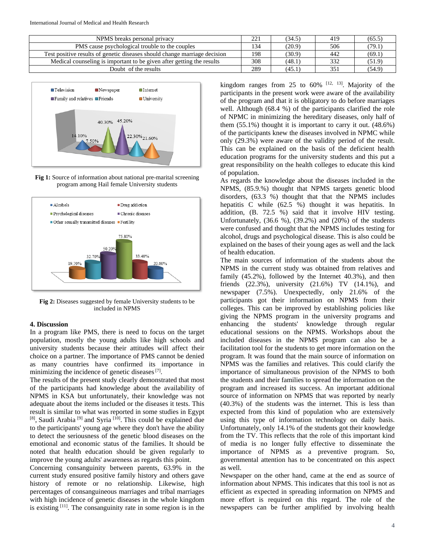| NPMS breaks personal privacy                                              | 221 | (34.5) | 419 | (65.5) |
|---------------------------------------------------------------------------|-----|--------|-----|--------|
| PMS cause psychological trouble to the couples                            | 134 | (20.9) | 506 | (79.1) |
| Test positive results of genetic diseases should change marriage decision | 198 | (30.9) | 442 | (69.1) |
| Medical counseling is important to be given after getting the results     | 308 | (48.1) | 332 | (51.9) |
| Doubt of the results                                                      | 289 | (45.1) | 351 | (54.9) |



**Fig 1:** Source of information about national pre-marital screening program among Hail female University students



**Fig 2:** Diseases suggested by female University students to be included in NPMS

## **4. Discussion**

In a program like PMS, there is need to focus on the target population, mostly the young adults like high schools and university students because their attitudes will affect their choice on a partner. The importance of PMS cannot be denied as many countries have confirmed its importance in minimizing the incidence of genetic diseases [7].

The results of the present study clearly demonstrated that most of the participants had knowledge about the availability of NPMS in KSA but unfortunately, their knowledge was not adequate about the items included or the diseases it tests. This result is similar to what was reported in some studies in Egypt <sup>[8]</sup>, Saudi Arabia<sup>[9]</sup> and Syria<sup>[10]</sup>. This could be explained due to the participants' young age where they don't have the ability to detect the seriousness of the genetic blood diseases on the emotional and economic status of the families. It should be noted that health education should be given regularly to improve the young adults' awareness as regards this point.

Concerning consanguinity between parents, 63.9% in the current study ensured positive family history and others gave history of remote or no relationship. Likewise, high percentages of consanguineous marriages and tribal marriages with high incidence of genetic diseases in the whole kingdom is existing  $[11]$ . The consanguinity rate in some region is in the

kingdom ranges from 25 to  $60\%$  <sup>[12, 13]</sup>. Majority of the participants in the present work were aware of the availability of the program and that it is obligatory to do before marriages well. Although (68.4 %) of the participants clarified the role of NPMC in minimizing the hereditary diseases, only half of them  $(55.1\%)$  thought it is important to carry it out.  $(48.6\%)$ of the participants knew the diseases involved in NPMC while only (29.3%) were aware of the validity period of the result. This can be explained on the basis of the deficient health education programs for the university students and this put a great responsibility on the health colleges to educate this kind of population.

As regards the knowledge about the diseases included in the NPMS, (85.9.%) thought that NPMS targets genetic blood disorders, (63.3 %) thought that that the NPMS includes hepatitis C while (62.5 %) thought it was hepatitis. In addition, (B. 72.5 %) said that it involve HIV testing. Unfortunately, (36.6 %), (39.2%) and (20%) of the students were confused and thought that the NPMS includes testing for alcohol, drugs and psychological disease. This is also could be explained on the bases of their young ages as well and the lack of health education.

The main sources of information of the students about the NPMS in the current study was obtained from relatives and family (45.2%), followed by the Internet 40.3%), and then friends (22.3%), university (21.6%) TV (14.1%), and newspaper (7.5%). Unexpectedly, only 21.6% of the participants got their information on NPMS from their colleges. This can be improved by establishing policies like giving the NPMS program in the university programs and enhancing the students' knowledge through regular educational sessions on the NPMS. Workshops about the included diseases in the NPMS program can also be a facilitation tool for the students to get more information on the program. It was found that the main source of information on NPMS was the families and relatives. This could clarify the importance of simultaneous provision of the NPMS to both the students and their families to spread the information on the program and increased its success. An important additional source of information on NPMS that was reported by nearly (40.3%) of the students was the internet. This is less than expected from this kind of population who are extensively using this type of information technology on daily basis. Unfortunately, only 14.1% of the students got their knowledge from the TV. This reflects that the role of this important kind of media is no longer fully effective to disseminate the importance of NPMS as a preventive program. So, governmental attention has to be concentrated on this aspect as well.

Newspaper on the other hand, came at the end as source of information about NPMS. This indicates that this tool is not as efficient as expected in spreading information on NPMS and more effort is required on this regard. The role of the newspapers can be further amplified by involving health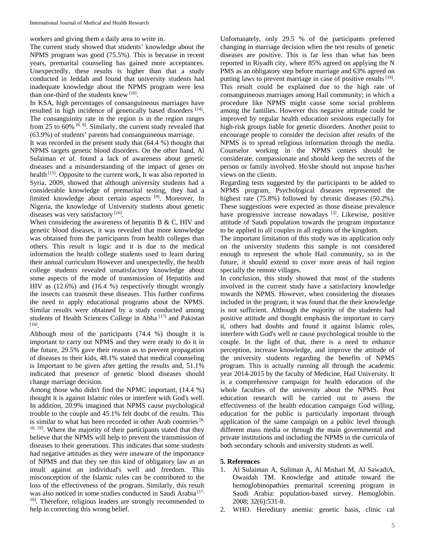workers and giving them a daily area to write in.

The current study showed that students' knowledge about the NPMS program was good (75.5%). This is because in recent years, premarital counseling has gained more acceptances. Unexpectedly, these results is higher than that a study conducted in Jeddah and found that university students had inadequate knowledge about the NPMS program were less than one-third of the students knew [10].

In KSA, high percentages of consanguineous marriages have resulted in high incidence of genetically based disorders [14]. The consanguinity rate in the region is in the region ranges from 25 to 60%  $[8, 9]$ . Similarly, the current study revealed that (63.9%) of students' parents had consanguineous marriage.

It was recorded in the present study that (64.4 %) thought that NPMS targets genetic blood disorders. On the other hand, Al Sulaiman *et al*. found a lack of awareness about genetic diseases and a misunderstanding of the impact of genes on health<sup>[15]</sup>. Opposite to the current work, It was also reported in Syria, 2009, showed that although university students had a considerable knowledge of premarital testing, they had a limited knowledge about certain aspects <sup>[9]</sup>. Moreover, In Nigeria, the knowledge of University students about genetic diseases was very satisfactory<sup>[16]</sup>.

When considering the awareness of hepatitis B & C, HIV and genetic blood diseases, it was revealed that more knowledge was obtained from the participants from health colleges than others. This result is logic and it is due to the medical information the health college students used to learn during their annual curriculum However and unexpectedly, the health college students revealed unsatisfactory knowledge about some aspects of the mode of transmission of Hepatitis and HIV as (12.6%) and (16.4 %) respectively thought wrongly the insects can transmit these diseases. This further confirms the need to apply educational programs about the NPMS. Similar results were obtained by a study conducted among students of Health Sciences College in Abha [17] and Pakistan [18] .

Although most of the participants (74.4 %) thought it is important to carry out NPMS and they were ready to do it in the future, 29.5% gave their reason as to prevent propagation of diseases to their kids, 48.1% stated that medical counseling is Important to be given after getting the results and, 51.1% indicated that presence of genetic blood diseases should change marriage decision.

Among those who didn't find the NPMC important, (14.4 %) thought it is against Islamic roles or interfere with God's well. In addition, 20.9% imagined that NPMS cause psychological trouble to the couple and 45.1% felt doubt of the results. This is similar to what has been recorded in other Arab countries  $[8, 8]$ <sup>10, 19</sup>. Where the majority of their participants stated that they believe that the NPMS will help to prevent the transmission of diseases to their generations. This indicates that some students had negative attitudes as they were unaware of the importance of NPMS and that they see this kind of obligatory law as an insult against an individual's well and freedom. This misconception of the Islamic rules can be contributed to the loss of the effectiveness of the program. Similarly, this result was also noticed in some studies conducted in Saudi Arabia<sup>[17,</sup> <sup>19]</sup>. Therefore, religious leaders are strongly recommended to help in correcting this wrong belief.

Unfortunately, only 29.5 % of the participants preferred changing in marriage decision when the test results of genetic diseases are positive. This is far less than what has been reported in Riyadh city, where 85% agreed on applying the N PMS as an obligatory step before marriage and 63% agreed on putting laws to prevent marriage in case of positive results [19]. This result could be explained due to the high rate of consanguineous marriages among Hail community; in which a procedure like NPMS might cause some social problems among the families. However this negative attitude could be improved by regular health education sessions especially for high-risk groups liable for genetic disorders. Another point to encourage people to consider the decision after results of the NPMS is to spread religious information through the media. Counselor working in the NPMS centers should be considerate, compassionate and should keep the secrets of the person or family involved. He/she should not impose his/her views on the clients.

Regarding tests suggested by the participants to be added to NPMS program, Psychological diseases represented the highest rate (75.8%) followed by chronic diseases (50.2%). These suggestions were expected as those disease prevalence have progressive increase nowadays [3]. Likewise, positive attitude of Saudi population towards the program importance to be applied to all couples in all regions of the kingdom.

The important limitation of this study was its application only on the university students this sample is not considered enough to represent the whole Hail community, so in the future, it should extend to cover more areas of hail region specially the remote villages.

In conclusion, this study showed that most of the students involved in the current study have a satisfactory knowledge towards the NPMS. However, when considering the diseases included in the program, it was found that the their knowledge is not sufficient. Although the majority of the students had positive attitude and thought emphasis the important to carry it, others had doubts and found it against Islamic roles, interfere with God's well or cause psychological trouble to the couple. In the light of that, there is a need to enhance perception, increase knowledge, and improve the attitude of the university students regarding the benefits of NPMS program. This is actually running all through the academic year 2014-2015 by the faculty of Medicine, Hail University. It is a comprehensive campaign for health education of the whole faculties of the university about the NPMS. Post education research will be carried out to assess the effectiveness of the health education campaign God willing, education for the public is particularly important through application of the same campaign on a public level through different mass media or through the main governmental and private institutions and including the NPMS in the curricula of both secondary schools and university students as well.

# **5. References**

- 1. Al Sulaiman A, Suliman A, Al Mishari M, Al SawadiA, Owaidah TM. Knowledge and attitude toward the hemoglobinopathies premarital screening program in Saudi Arabia: population-based survey. Hemoglobin. 2008; 32(6):531-8.
- 2. WHO. Hereditary anemia: genetic basis, clinic cal